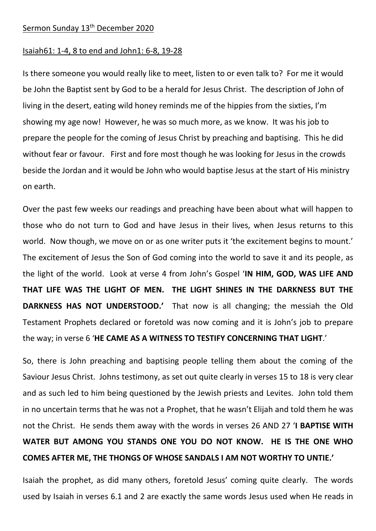## Sermon Sunday 13<sup>th</sup> December 2020

## Isaiah61: 1-4, 8 to end and John1: 6-8, 19-28

Is there someone you would really like to meet, listen to or even talk to? For me it would be John the Baptist sent by God to be a herald for Jesus Christ. The description of John of living in the desert, eating wild honey reminds me of the hippies from the sixties, I'm showing my age now! However, he was so much more, as we know. It was his job to prepare the people for the coming of Jesus Christ by preaching and baptising. This he did without fear or favour. First and fore most though he was looking for Jesus in the crowds beside the Jordan and it would be John who would baptise Jesus at the start of His ministry on earth.

Over the past few weeks our readings and preaching have been about what will happen to those who do not turn to God and have Jesus in their lives, when Jesus returns to this world. Now though, we move on or as one writer puts it 'the excitement begins to mount.' The excitement of Jesus the Son of God coming into the world to save it and its people, as the light of the world. Look at verse 4 from John's Gospel '**IN HIM, GOD, WAS LIFE AND THAT LIFE WAS THE LIGHT OF MEN. THE LIGHT SHINES IN THE DARKNESS BUT THE DARKNESS HAS NOT UNDERSTOOD.'** That now is all changing; the messiah the Old Testament Prophets declared or foretold was now coming and it is John's job to prepare the way; in verse 6 '**HE CAME AS A WITNESS TO TESTIFY CONCERNING THAT LIGHT**.'

So, there is John preaching and baptising people telling them about the coming of the Saviour Jesus Christ. Johns testimony, as set out quite clearly in verses 15 to 18 is very clear and as such led to him being questioned by the Jewish priests and Levites. John told them in no uncertain terms that he was not a Prophet, that he wasn't Elijah and told them he was not the Christ. He sends them away with the words in verses 26 AND 27 '**I BAPTISE WITH WATER BUT AMONG YOU STANDS ONE YOU DO NOT KNOW. HE IS THE ONE WHO COMES AFTER ME, THE THONGS OF WHOSE SANDALS I AM NOT WORTHY TO UNTIE.'**

Isaiah the prophet, as did many others, foretold Jesus' coming quite clearly. The words used by Isaiah in verses 6.1 and 2 are exactly the same words Jesus used when He reads in